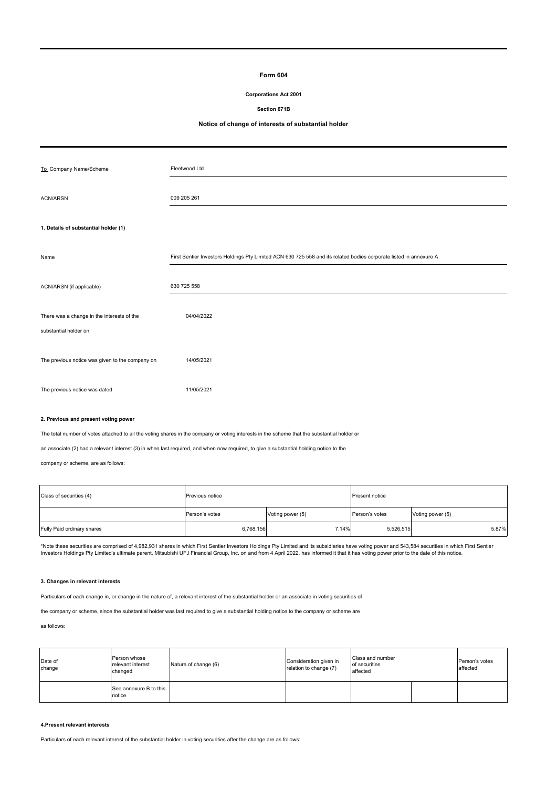## **Form 604**

## **Corporations Act 2001**

**Section 671B**

# **Notice of change of interests of substantial holder**

| To Company Name/Scheme                          | Fleetwood Ltd                                                                                                      |
|-------------------------------------------------|--------------------------------------------------------------------------------------------------------------------|
| <b>ACN/ARSN</b>                                 | 009 205 261                                                                                                        |
| 1. Details of substantial holder (1)            |                                                                                                                    |
|                                                 |                                                                                                                    |
| Name                                            | First Sentier Investors Holdings Pty Limited ACN 630 725 558 and its related bodies corporate listed in annexure A |
| ACN/ARSN (if applicable)                        | 630 725 558                                                                                                        |
| There was a change in the interests of the      | 04/04/2022                                                                                                         |
| substantial holder on                           |                                                                                                                    |
| The previous notice was given to the company on | 14/05/2021                                                                                                         |
| The previous notice was dated                   | 11/05/2021                                                                                                         |

## **2. Previous and present voting power**

The total number of votes attached to all the voting shares in the company or voting interests in the scheme that the substantial holder or

an associate (2) had a relevant interest (3) in when last required, and when now required, to give a substantial holding notice to the

company or scheme, are as follows:

| Class of securities (4)    | <b>Previous notice</b> |                  | Present notice |                  |  |
|----------------------------|------------------------|------------------|----------------|------------------|--|
|                            | Person's votes         | Voting power (5) | Person's votes | Voting power (5) |  |
| Fully Paid ordinary shares | 6,768,156              | 7.14%            | 5,526,515      | 5.87%            |  |

\*Note these securities are comprised of 4,982,931 shares in which First Sentier Investors Holdings Pty Limited and its subsidiaries have voting power and 543,584 securities in which First Sentier<br>Investors Holdings Pty Lim

#### **3. Changes in relevant interests**

Particulars of each change in, or change in the nature of, a relevant interest of the substantial holder or an associate in voting securities of

the company or scheme, since the substantial holder was last required to give a substantial holding notice to the company or scheme are

## as follows:

| Date of<br>change | Person whose<br>relevant interest<br>changed | Nature of change (6) | Consideration given in<br>relation to change (7) | Class and number<br>of securities<br>affected |  | Person's votes<br>affected |
|-------------------|----------------------------------------------|----------------------|--------------------------------------------------|-----------------------------------------------|--|----------------------------|
|                   | See annexure B to this<br>notice             |                      |                                                  |                                               |  |                            |

## **4.Present relevant interests**

Particulars of each relevant interest of the substantial holder in voting securities after the change are as follows: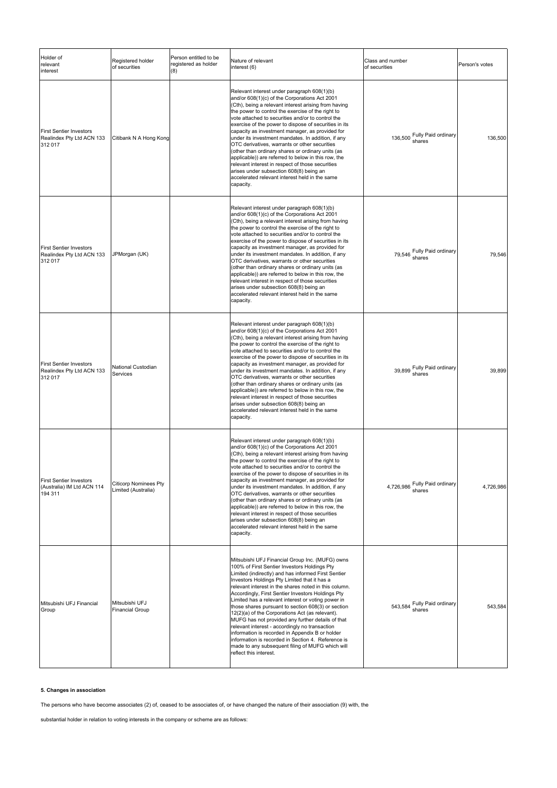| Holder of<br>relevant<br>interest                                       | Registered holder<br>of securities                  | Person entitled to be<br>registered as holder<br>(8) | Nature of relevant<br>interest (6)                                                                                                                                                                                                                                                                                                                                                                                                                                                                                                                                                                                                                                                                                                                                                | Class and number<br>of securities     | Person's votes |
|-------------------------------------------------------------------------|-----------------------------------------------------|------------------------------------------------------|-----------------------------------------------------------------------------------------------------------------------------------------------------------------------------------------------------------------------------------------------------------------------------------------------------------------------------------------------------------------------------------------------------------------------------------------------------------------------------------------------------------------------------------------------------------------------------------------------------------------------------------------------------------------------------------------------------------------------------------------------------------------------------------|---------------------------------------|----------------|
| <b>First Sentier Investors</b><br>Realindex Pty Ltd ACN 133<br>312 017  | Citibank N A Hong Kong                              |                                                      | Relevant interest under paragraph 608(1)(b)<br>and/or 608(1)(c) of the Corporations Act 2001<br>(Cth), being a relevant interest arising from having<br>the power to control the exercise of the right to<br>vote attached to securities and/or to control the<br>exercise of the power to dispose of securities in its<br>capacity as investment manager, as provided for<br>under its investment mandates. In addition, if any<br>OTC derivatives, warrants or other securities<br>(other than ordinary shares or ordinary units (as<br>applicable)) are referred to below in this row, the<br>relevant interest in respect of those securities<br>arises under subsection 608(8) being an<br>accelerated relevant interest held in the same<br>capacity.                       | 136,500 Fully Paid ordinary<br>shares | 136,500        |
| <b>First Sentier Investors</b><br>Realindex Pty Ltd ACN 133<br>312 017  | JPMorgan (UK)                                       |                                                      | Relevant interest under paragraph 608(1)(b)<br>and/or 608(1)(c) of the Corporations Act 2001<br>(Cth), being a relevant interest arising from having<br>the power to control the exercise of the right to<br>vote attached to securities and/or to control the<br>exercise of the power to dispose of securities in its<br>capacity as investment manager, as provided for<br>under its investment mandates. In addition, if any<br>OTC derivatives, warrants or other securities<br>(other than ordinary shares or ordinary units (as<br>applicable)) are referred to below in this row, the<br>relevant interest in respect of those securities<br>arises under subsection 608(8) being an<br>accelerated relevant interest held in the same<br>capacity.                       | 79,546 Fully Paid ordinary<br>shares  | 79,546         |
| <b>First Sentier Investors</b><br>Realindex Pty Ltd ACN 133<br>312 017  | National Custodian<br>Services                      |                                                      | Relevant interest under paragraph 608(1)(b)<br>and/or 608(1)(c) of the Corporations Act 2001<br>(Cth), being a relevant interest arising from having<br>the power to control the exercise of the right to<br>vote attached to securities and/or to control the<br>exercise of the power to dispose of securities in its<br>capacity as investment manager, as provided for<br>under its investment mandates. In addition, if any<br>OTC derivatives, warrants or other securities<br>(other than ordinary shares or ordinary units (as<br>applicable)) are referred to below in this row, the<br>relevant interest in respect of those securities<br>arises under subsection 608(8) being an<br>accelerated relevant interest held in the same<br>capacity.                       | 39,899 Fully Paid ordinary<br>shares  | 39,899         |
| <b>First Sentier Investors</b><br>(Australia) IM Ltd ACN 114<br>194 311 | <b>Citicorp Nominees Pty</b><br>Limited (Australia) |                                                      | Relevant interest under paragraph 608(1)(b)<br>and/or 608(1)(c) of the Corporations Act 2001<br>(Cth), being a relevant interest arising from having<br>the power to control the exercise of the right to<br>vote attached to securities and/or to control the<br>exercise of the power to dispose of securities in its<br>capacity as investment manager, as provided for<br>under its investment mandates. In addition, if any<br>OTC derivatives, warrants or other securities<br>(other than ordinary shares or ordinary units (as<br>applicable)) are referred to below in this row, the<br>relevant interest in respect of those securities<br>arises under subsection 608(8) being an<br>accelerated relevant interest held in the same<br>capacity.                       | 4,726,986 Fully Paid ordinary         | 4,726,986      |
| Mitsubishi UFJ Financial<br>Group                                       | Mitsubishi UFJ<br><b>Financial Group</b>            |                                                      | Mitsubishi UFJ Financial Group Inc. (MUFG) owns<br>100% of First Sentier Investors Holdings Pty<br>Limited (indirectly) and has informed First Sentier<br>Investors Holdings Pty Limited that it has a<br>relevant interest in the shares noted in this column.<br>Accordingly, First Sentier Investors Holdings Pty<br>Limited has a relevant interest or voting power in<br>those shares pursuant to section 608(3) or section<br>12(2)(a) of the Corporations Act (as relevant).<br>MUFG has not provided any further details of that<br>relevant interest - accordingly no transaction<br>information is recorded in Appendix B or holder<br>information is recorded in Section 4. Reference is<br>made to any subsequent filing of MUFG which will<br>reflect this interest. | 543,584 Fully Paid ordinary<br>shares | 543,584        |

# **5. Changes in association**

The persons who have become associates (2) of, ceased to be associates of, or have changed the nature of their association (9) with, the

substantial holder in relation to voting interests in the company or scheme are as follows: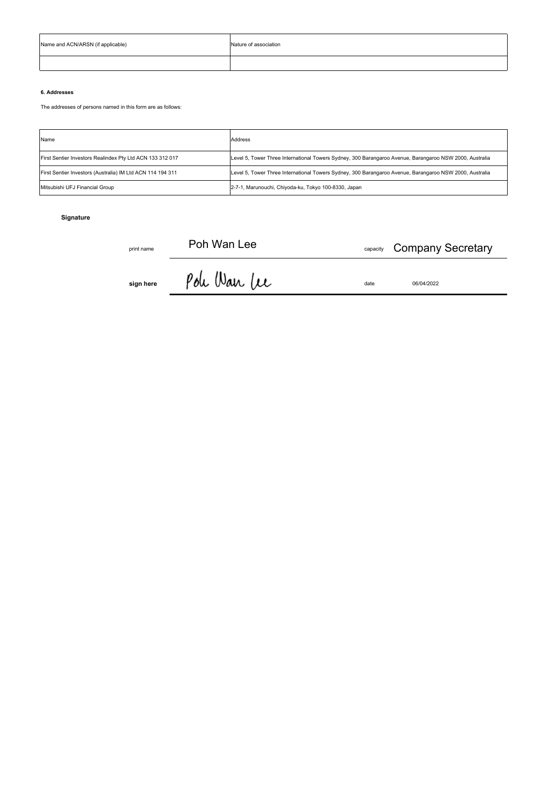| Name and ACN/ARSN (if applicable) | Nature of association |  |  |  |  |
|-----------------------------------|-----------------------|--|--|--|--|
|                                   |                       |  |  |  |  |

# **6. Addresses**

The addresses of persons named in this form are as follows:

| Name                                                       | Address                                                                                                 |
|------------------------------------------------------------|---------------------------------------------------------------------------------------------------------|
| First Sentier Investors Realindex Pty Ltd ACN 133 312 017  | Level 5, Tower Three International Towers Sydney, 300 Barangaroo Avenue, Barangaroo NSW 2000, Australia |
| First Sentier Investors (Australia) IM Ltd ACN 114 194 311 | Level 5, Tower Three International Towers Sydney, 300 Barangaroo Avenue, Barangaroo NSW 2000, Australia |
| Mitsubishi UFJ Financial Group                             | 2-7-1, Marunouchi, Chiyoda-ku, Tokyo 100-8330, Japan                                                    |

# **Signature**

 $Poh$  Wan Lee  $\qquad \qquad \text{equation}$ Company Secretary

**sign here**  $\beta$  ole Wan Lee date 06/04/2022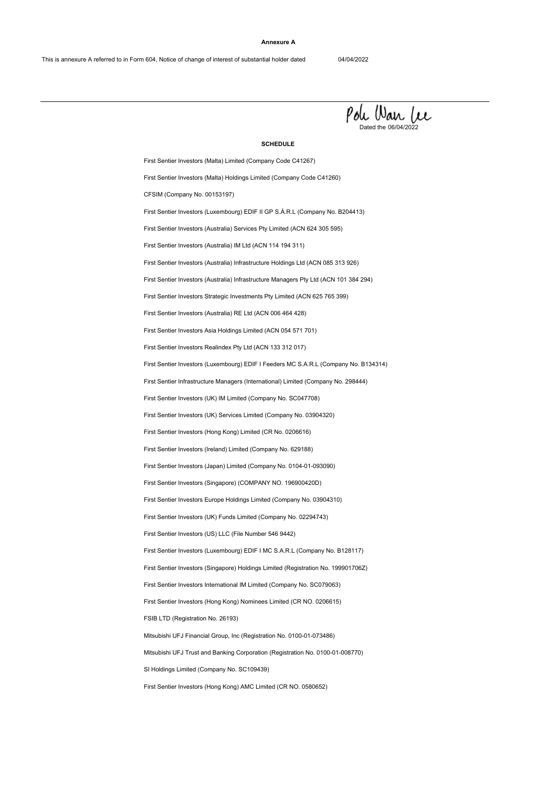#### **Annexure A**



#### **SCHEDULE**

First Sentier Investors (Hong Kong) AMC Limited (CR NO. 0580652) First Sentier Investors (Australia) RE Ltd (ACN 006 464 428) First Sentier Investors Realindex Pty Ltd (ACN 133 312 017) FSIB LTD (Registration No. 26193) First Sentier Investors International IM Limited (Company No. SC079063) Mitsubishi UFJ Trust and Banking Corporation (Registration No. 0100-01-008770) First Sentier Investors Asia Holdings Limited (ACN 054 571 701) First Sentier Investors (Luxembourg) EDIF I Feeders MC S.A.R.L (Company No. B134314) Mitsubishi UFJ Financial Group, Inc (Registration No. 0100-01-073486) First Sentier Investors (Hong Kong) Nominees Limited (CR NO. 0206615) SI Holdings Limited (Company No. SC109439) First Sentier Investors (Singapore) (COMPANY NO. 196900420D) First Sentier Investors (Ireland) Limited (Company No. 629188) First Sentier Investors (Luxembourg) EDIF I MC S.A.R.L (Company No. B128117) First Sentier Investors (UK) Funds Limited (Company No. 02294743) First Sentier Infrastructure Managers (International) Limited (Company No. 298444) First Sentier Investors (UK) Services Limited (Company No. 03904320) First Sentier Investors Europe Holdings Limited (Company No. 03904310) First Sentier Investors (Japan) Limited (Company No. 0104-01-093090) First Sentier Investors (Singapore) Holdings Limited (Registration No. 199901706Z) First Sentier Investors (US) LLC (File Number 546 9442) First Sentier Investors (UK) IM Limited (Company No. SC047708) First Sentier Investors (Hong Kong) Limited (CR No. 0206616) First Sentier Investors (Malta) Limited (Company Code C41267) First Sentier Investors Strategic Investments Pty Limited (ACN 625 765 399) First Sentier Investors (Australia) Infrastructure Holdings Ltd (ACN 085 313 926) First Sentier Investors (Australia) Services Pty Limited (ACN 624 305 595) CFSIM (Company No. 00153197) First Sentier Investors (Malta) Holdings Limited (Company Code C41260) First Sentier Investors (Australia) Infrastructure Managers Pty Ltd (ACN 101 384 294) First Sentier Investors (Australia) IM Ltd (ACN 114 194 311) First Sentier Investors (Luxembourg) EDIF II GP S.Á.R.L (Company No. B204413)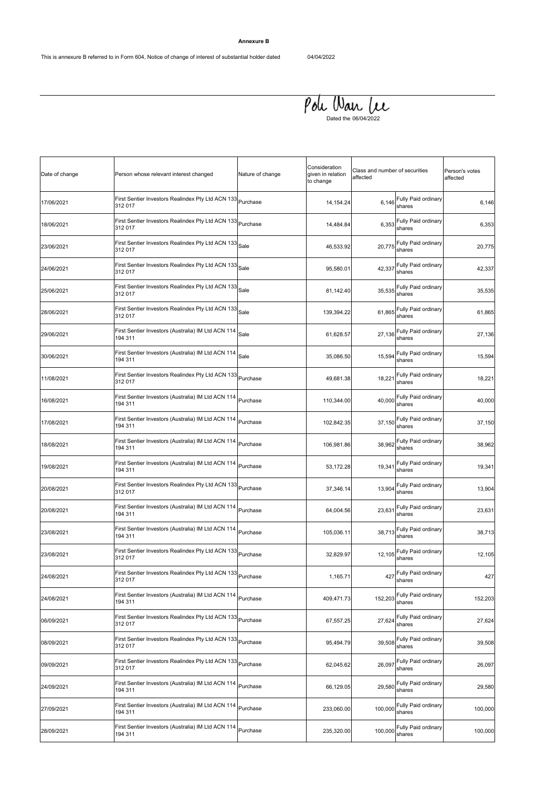# **Annexure B**

# $P$ ou Wan Lee

| Date of change | Person whose relevant interest changed                                 | Nature of change | Consideration<br>given in relation<br>to change | Class and number of securities<br>affected |                                   | Person's votes<br>affected |
|----------------|------------------------------------------------------------------------|------------------|-------------------------------------------------|--------------------------------------------|-----------------------------------|----------------------------|
| 17/06/2021     | First Sentier Investors Realindex Pty Ltd ACN 133<br>312 017           | Purchase         | 14, 154. 24                                     | 6,146                                      | Fully Paid ordinary<br>shares     | 6,146                      |
| 18/06/2021     | First Sentier Investors Realindex Pty Ltd ACN 133<br>312 017           | Purchase         | 14,484.84                                       | 6,353                                      | Fully Paid ordinary<br>shares     | 6,353                      |
| 23/06/2021     | First Sentier Investors Realindex Pty Ltd ACN 133<br>312 017           | Sale             | 46,533.92                                       | 20,775                                     | Fully Paid ordinary<br>shares     | 20,775                     |
| 24/06/2021     | First Sentier Investors Realindex Pty Ltd ACN 133<br>312 017           | Sale             | 95,580.01                                       | 42,337                                     | Fully Paid ordinary<br>shares     | 42,337                     |
| 25/06/2021     | First Sentier Investors Realindex Pty Ltd ACN 133<br>312 017           | Sale             | 81,142.40                                       | 35,535                                     | Fully Paid ordinary<br>shares     | 35,535                     |
| 28/06/2021     | First Sentier Investors Realindex Pty Ltd ACN 133<br>312 017           | Sale             | 139,394.22                                      | 61,865                                     | Fully Paid ordinary<br>shares     | 61,865                     |
| 29/06/2021     | First Sentier Investors (Australia) IM Ltd ACN 114<br>194 311          | Sale             | 61,628.57                                       | 27,136                                     | Fully Paid ordinary<br>shares     | 27,136                     |
| 30/06/2021     | First Sentier Investors (Australia) IM Ltd ACN 114<br>194 311          | Sale             | 35,086.50                                       | 15,594                                     | Fully Paid ordinary<br>shares     | 15,594                     |
| 11/08/2021     | First Sentier Investors Realindex Pty Ltd ACN 133<br>312 017           | Purchase         | 49,681.38                                       | 18,221                                     | Fully Paid ordinary<br>shares     | 18,221                     |
| 16/08/2021     | First Sentier Investors (Australia) IM Ltd ACN 114<br>194 311          | Purchase         | 110,344.00                                      | 40,000                                     | Fully Paid ordinary<br>shares     | 40,000                     |
| 17/08/2021     | First Sentier Investors (Australia) IM Ltd ACN 114<br>194 311          | Purchase         | 102,842.35                                      | 37,150                                     | Fully Paid ordinary<br>shares     | 37,150                     |
| 18/08/2021     | First Sentier Investors (Australia) IM Ltd ACN 114<br>194 311          | Purchase         | 106,981.86                                      | 38,962                                     | Fully Paid ordinary<br>shares     | 38,962                     |
| 19/08/2021     | First Sentier Investors (Australia) IM Ltd ACN 114<br>194 311          | Purchase         | 53,172.28                                       | 19,341                                     | Fully Paid ordinary<br>shares     | 19,341                     |
| 20/08/2021     | First Sentier Investors Realindex Pty Ltd ACN 133 Purchase<br>312 017  |                  | 37,346.14                                       | 13,904                                     | Fully Paid ordinary<br>shares     | 13,904                     |
| 20/08/2021     | First Sentier Investors (Australia) IM Ltd ACN 114<br>194 311          | Purchase         | 64,004.56                                       | 23,631                                     | Fully Paid ordinary<br>shares     | 23,631                     |
| 23/08/2021     | First Sentier Investors (Australia) IM Ltd ACN 114 Purchase<br>194 311 |                  | 105,036.11                                      | 38,713                                     | Fully Paid ordinary<br>shares     | 38,713                     |
| 23/08/2021     | First Sentier Investors Realindex Pty Ltd ACN 133 Purchase<br>312 017  |                  | 32,829.97                                       | 12,105                                     | Fully Paid ordinary<br>shares     | 12,105                     |
| 24/08/2021     | First Sentier Investors Realindex Pty Ltd ACN 133<br>312 017           | Purchase         | 1,165.71                                        |                                            | 427 Fully Paid ordinary<br>shares | 427                        |
| 24/08/2021     | First Sentier Investors (Australia) IM Ltd ACN 114<br>194 311          | Purchase         | 409,471.73                                      | 152,203                                    | Fully Paid ordinary<br>shares     | 152,203                    |
| 06/09/2021     | First Sentier Investors Realindex Pty Ltd ACN 133 Purchase<br>312 017  |                  | 67,557.25                                       | 27,624                                     | Fully Paid ordinary<br>shares     | 27,624                     |
| 08/09/2021     | First Sentier Investors Realindex Pty Ltd ACN 133 Purchase<br>312 017  |                  | 95,494.79                                       | 39,508                                     | Fully Paid ordinary<br>shares     | 39,508                     |
| 09/09/2021     | First Sentier Investors Realindex Pty Ltd ACN 133 Purchase<br>312 017  |                  | 62,045.62                                       | 26,097                                     | Fully Paid ordinary<br>shares     | 26,097                     |
| 24/09/2021     | First Sentier Investors (Australia) IM Ltd ACN 114<br>194 311          | Purchase         | 66,129.05                                       | 29,580                                     | Fully Paid ordinary<br>shares     | 29,580                     |
| 27/09/2021     | First Sentier Investors (Australia) IM Ltd ACN 114 Purchase<br>194 311 |                  | 233,060.00                                      | 100,000                                    | Fully Paid ordinary<br>shares     | 100,000                    |
| 28/09/2021     | First Sentier Investors (Australia) IM Ltd ACN 114<br>194 311          | Purchase         | 235,320.00                                      | 100,000                                    | Fully Paid ordinary<br>shares     | 100,000                    |